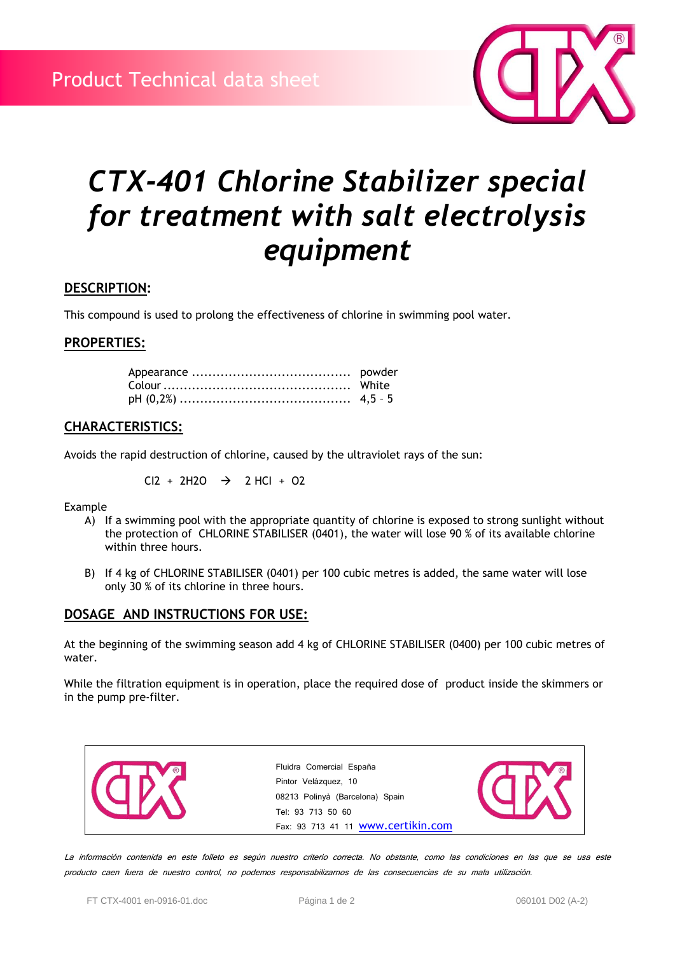

# *CTX-401 Chlorine Stabilizer special for treatment with salt electrolysis equipment*

### **DESCRIPTION:**

This compound is used to prolong the effectiveness of chlorine in swimming pool water.

### **PROPERTIES:**

# **CHARACTERISTICS:**

Avoids the rapid destruction of chlorine, caused by the ultraviolet rays of the sun:

$$
CI2 + 2H2O \rightarrow 2 HCl + O2
$$

Example

- A) If a swimming pool with the appropriate quantity of chlorine is exposed to strong sunlight without the protection of CHLORINE STABILISER (0401), the water will lose 90 % of its available chlorine within three hours.
- B) If 4 kg of CHLORINE STABILISER (0401) per 100 cubic metres is added, the same water will lose only 30 % of its chlorine in three hours.

# **DOSAGE AND INSTRUCTIONS FOR USE:**

At the beginning of the swimming season add 4 kg of CHLORINE STABILISER (0400) per 100 cubic metres of water.

While the filtration equipment is in operation, place the required dose of product inside the skimmers or in the pump pre-filter.



La información contenida en este folleto es según nuestro criterio correcta. No obstante, como las condiciones en las que se usa este producto caen fuera de nuestro control, no podemos responsabilizarnos de las consecuencias de su mala utilización.